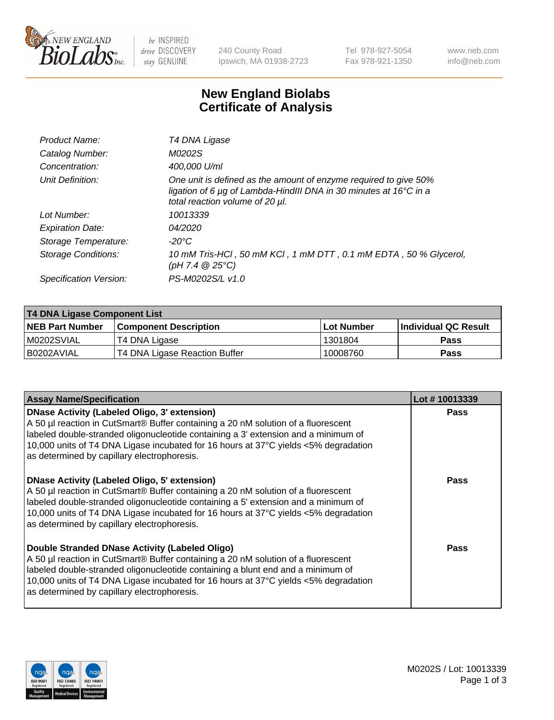

be INSPIRED drive DISCOVERY stay GENUINE

240 County Road Ipswich, MA 01938-2723 Tel 978-927-5054 Fax 978-921-1350 www.neb.com info@neb.com

## **New England Biolabs Certificate of Analysis**

| Product Name:           | T4 DNA Ligase                                                                                                                                                            |
|-------------------------|--------------------------------------------------------------------------------------------------------------------------------------------------------------------------|
| Catalog Number:         | M0202S                                                                                                                                                                   |
| Concentration:          | 400,000 U/ml                                                                                                                                                             |
| Unit Definition:        | One unit is defined as the amount of enzyme required to give 50%<br>ligation of 6 µg of Lambda-HindIII DNA in 30 minutes at 16°C in a<br>total reaction volume of 20 µl. |
| Lot Number:             | 10013339                                                                                                                                                                 |
| <b>Expiration Date:</b> | 04/2020                                                                                                                                                                  |
| Storage Temperature:    | $-20^{\circ}$ C                                                                                                                                                          |
| Storage Conditions:     | 10 mM Tris-HCl, 50 mM KCl, 1 mM DTT, 0.1 mM EDTA, 50 % Glycerol,<br>(pH 7.4 $@25°C$ )                                                                                    |
| Specification Version:  | PS-M0202S/L v1.0                                                                                                                                                         |

| <b>T4 DNA Ligase Component List</b> |                               |            |                      |  |
|-------------------------------------|-------------------------------|------------|----------------------|--|
| <b>NEB Part Number</b>              | <b>Component Description</b>  | Lot Number | Individual QC Result |  |
| IM0202SVIAL                         | T4 DNA Ligase                 | 1301804    | <b>Pass</b>          |  |
| I B0202AVIAL                        | T4 DNA Ligase Reaction Buffer | 10008760   | <b>Pass</b>          |  |

| <b>Assay Name/Specification</b>                                                                                                                                                                                                                                                                                                                                      | Lot #10013339 |
|----------------------------------------------------------------------------------------------------------------------------------------------------------------------------------------------------------------------------------------------------------------------------------------------------------------------------------------------------------------------|---------------|
| <b>DNase Activity (Labeled Oligo, 3' extension)</b><br>A 50 µl reaction in CutSmart® Buffer containing a 20 nM solution of a fluorescent<br>labeled double-stranded oligonucleotide containing a 3' extension and a minimum of<br>10,000 units of T4 DNA Ligase incubated for 16 hours at 37°C yields <5% degradation<br>as determined by capillary electrophoresis. | <b>Pass</b>   |
| <b>DNase Activity (Labeled Oligo, 5' extension)</b><br>A 50 µl reaction in CutSmart® Buffer containing a 20 nM solution of a fluorescent<br>labeled double-stranded oligonucleotide containing a 5' extension and a minimum of<br>10,000 units of T4 DNA Ligase incubated for 16 hours at 37°C yields <5% degradation<br>as determined by capillary electrophoresis. | Pass          |
| Double Stranded DNase Activity (Labeled Oligo)<br>A 50 µl reaction in CutSmart® Buffer containing a 20 nM solution of a fluorescent<br>labeled double-stranded oligonucleotide containing a blunt end and a minimum of<br>10,000 units of T4 DNA Ligase incubated for 16 hours at 37°C yields <5% degradation<br>as determined by capillary electrophoresis.         | Pass          |

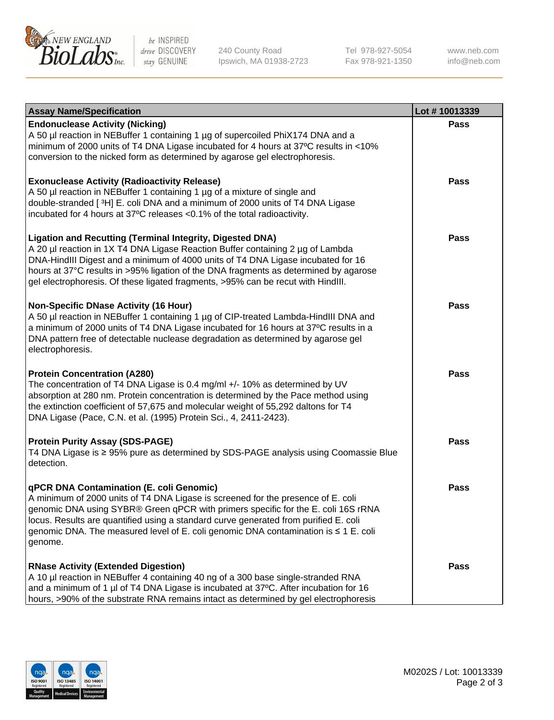

be INSPIRED drive DISCOVERY stay GENUINE

240 County Road Ipswich, MA 01938-2723 Tel 978-927-5054 Fax 978-921-1350

www.neb.com info@neb.com

| <b>Assay Name/Specification</b>                                                                                                                                                                                                                                                                                                                                                                                    | Lot #10013339 |
|--------------------------------------------------------------------------------------------------------------------------------------------------------------------------------------------------------------------------------------------------------------------------------------------------------------------------------------------------------------------------------------------------------------------|---------------|
| <b>Endonuclease Activity (Nicking)</b><br>A 50 µl reaction in NEBuffer 1 containing 1 µg of supercoiled PhiX174 DNA and a<br>minimum of 2000 units of T4 DNA Ligase incubated for 4 hours at 37°C results in <10%<br>conversion to the nicked form as determined by agarose gel electrophoresis.                                                                                                                   | <b>Pass</b>   |
| <b>Exonuclease Activity (Radioactivity Release)</b><br>A 50 µl reaction in NEBuffer 1 containing 1 µg of a mixture of single and<br>double-stranded [3H] E. coli DNA and a minimum of 2000 units of T4 DNA Ligase<br>incubated for 4 hours at 37°C releases <0.1% of the total radioactivity.                                                                                                                      | <b>Pass</b>   |
| <b>Ligation and Recutting (Terminal Integrity, Digested DNA)</b><br>A 20 µl reaction in 1X T4 DNA Ligase Reaction Buffer containing 2 µg of Lambda<br>DNA-HindIII Digest and a minimum of 4000 units of T4 DNA Ligase incubated for 16<br>hours at 37°C results in >95% ligation of the DNA fragments as determined by agarose<br>gel electrophoresis. Of these ligated fragments, >95% can be recut with HindIII. | <b>Pass</b>   |
| <b>Non-Specific DNase Activity (16 Hour)</b><br>A 50 µl reaction in NEBuffer 1 containing 1 µg of CIP-treated Lambda-HindIII DNA and<br>a minimum of 2000 units of T4 DNA Ligase incubated for 16 hours at 37°C results in a<br>DNA pattern free of detectable nuclease degradation as determined by agarose gel<br>electrophoresis.                                                                               | <b>Pass</b>   |
| <b>Protein Concentration (A280)</b><br>The concentration of T4 DNA Ligase is 0.4 mg/ml +/- 10% as determined by UV<br>absorption at 280 nm. Protein concentration is determined by the Pace method using<br>the extinction coefficient of 57,675 and molecular weight of 55,292 daltons for T4<br>DNA Ligase (Pace, C.N. et al. (1995) Protein Sci., 4, 2411-2423).                                                | <b>Pass</b>   |
| <b>Protein Purity Assay (SDS-PAGE)</b><br>T4 DNA Ligase is ≥ 95% pure as determined by SDS-PAGE analysis using Coomassie Blue<br>detection.                                                                                                                                                                                                                                                                        | <b>Pass</b>   |
| qPCR DNA Contamination (E. coli Genomic)<br>A minimum of 2000 units of T4 DNA Ligase is screened for the presence of E. coli<br>genomic DNA using SYBR® Green qPCR with primers specific for the E. coli 16S rRNA<br>locus. Results are quantified using a standard curve generated from purified E. coli<br>genomic DNA. The measured level of E. coli genomic DNA contamination is ≤ 1 E. coli<br>genome.        | Pass          |
| <b>RNase Activity (Extended Digestion)</b><br>A 10 µl reaction in NEBuffer 4 containing 40 ng of a 300 base single-stranded RNA<br>and a minimum of 1 µl of T4 DNA Ligase is incubated at 37°C. After incubation for 16<br>hours, >90% of the substrate RNA remains intact as determined by gel electrophoresis                                                                                                    | <b>Pass</b>   |